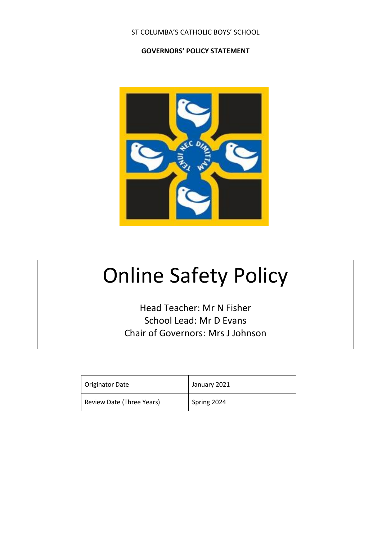## ST COLUMBA'S CATHOLIC BOYS' SCHOOL

## **GOVERNORS' POLICY STATEMENT**



# Online Safety Policy

Head Teacher: Mr N Fisher School Lead: Mr D Evans Chair of Governors: Mrs J Johnson

| Originator Date           | January 2021 |
|---------------------------|--------------|
| Review Date (Three Years) | Spring 2024  |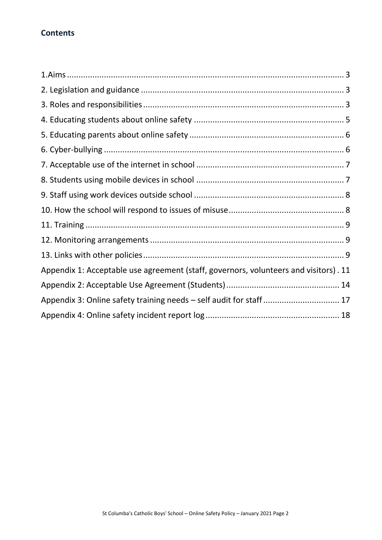# **Contents**

| Appendix 1: Acceptable use agreement (staff, governors, volunteers and visitors). 11 |
|--------------------------------------------------------------------------------------|
|                                                                                      |
| Appendix 3: Online safety training needs - self audit for staff 17                   |
|                                                                                      |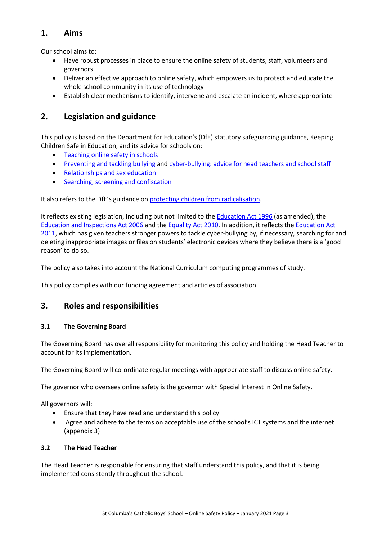# **1. Aims**

Our school aims to:

- Have robust processes in place to ensure the online safety of students, staff, volunteers and governors
- Deliver an effective approach to online safety, which empowers us to protect and educate the whole school community in its use of technology
- Establish clear mechanisms to identify, intervene and escalate an incident, where appropriate

# **2. Legislation and guidance**

This policy is based on the Department for Education's (DfE) statutory safeguarding guidance, Keeping Children Safe in Education, and its advice for schools on:

- [Teaching online safety in schools](https://www.gov.uk/government/publications/teaching-online-safety-in-schools)
- [Preventing and tackling bullying](https://www.gov.uk/government/publications/preventing-and-tackling-bullying) and [cyber-bullying: advice for head teachers and school staff](https://www.gov.uk/government/publications/preventing-and-tackling-bullying)
- [Relationships and sex education](https://www.gov.uk/government/publications/relationships-education-relationships-and-sex-education-rse-and-health-education)
- [Searching, screening and confiscation](https://www.gov.uk/government/publications/searching-screening-and-confiscation)

It also refers to the DfE's guidance on [protecting children from radicalisation.](https://www.gov.uk/government/publications/protecting-children-from-radicalisation-the-prevent-duty)

It reflects existing legislation, including but not limited to th[e Education Act 1996](https://www.legislation.gov.uk/ukpga/1996/56/contents) (as amended), the [Education and Inspections Act 2006](https://www.legislation.gov.uk/ukpga/2006/40/contents) and the [Equality Act 2010.](https://www.legislation.gov.uk/ukpga/2010/15/contents) In addition, it reflects the [Education Act](http://www.legislation.gov.uk/ukpga/2011/21/contents/enacted)  [2011,](http://www.legislation.gov.uk/ukpga/2011/21/contents/enacted) which has given teachers stronger powers to tackle cyber-bullying by, if necessary, searching for and deleting inappropriate images or files on students' electronic devices where they believe there is a 'good reason' to do so.

The policy also takes into account the National Curriculum computing programmes of study.

This policy complies with our funding agreement and articles of association.

## **3. Roles and responsibilities**

### **3.1 The Governing Board**

The Governing Board has overall responsibility for monitoring this policy and holding the Head Teacher to account for its implementation.

The Governing Board will co-ordinate regular meetings with appropriate staff to discuss online safety.

The governor who oversees online safety is the governor with Special Interest in Online Safety.

All governors will:

- Ensure that they have read and understand this policy
- Agree and adhere to the terms on acceptable use of the school's ICT systems and the internet (appendix 3)

#### **3.2 The Head Teacher**

The Head Teacher is responsible for ensuring that staff understand this policy, and that it is being implemented consistently throughout the school.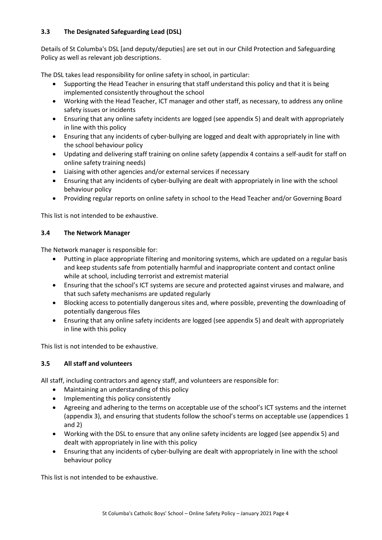## **3.3 The Designated Safeguarding Lead (DSL)**

Details of St Columba's DSL [and deputy/deputies] are set out in our Child Protection and Safeguarding Policy as well as relevant job descriptions.

The DSL takes lead responsibility for online safety in school, in particular:

- Supporting the Head Teacher in ensuring that staff understand this policy and that it is being implemented consistently throughout the school
- Working with the Head Teacher, ICT manager and other staff, as necessary, to address any online safety issues or incidents
- Ensuring that any online safety incidents are logged (see appendix 5) and dealt with appropriately in line with this policy
- Ensuring that any incidents of cyber-bullying are logged and dealt with appropriately in line with the school behaviour policy
- Updating and delivering staff training on online safety (appendix 4 contains a self-audit for staff on online safety training needs)
- Liaising with other agencies and/or external services if necessary
- Ensuring that any incidents of cyber-bullying are dealt with appropriately in line with the school behaviour policy
- Providing regular reports on online safety in school to the Head Teacher and/or Governing Board

This list is not intended to be exhaustive.

### **3.4 The Network Manager**

The Network manager is responsible for:

- Putting in place appropriate filtering and monitoring systems, which are updated on a regular basis and keep students safe from potentially harmful and inappropriate content and contact online while at school, including terrorist and extremist material
- Ensuring that the school's ICT systems are secure and protected against viruses and malware, and that such safety mechanisms are updated regularly
- Blocking access to potentially dangerous sites and, where possible, preventing the downloading of potentially dangerous files
- Ensuring that any online safety incidents are logged (see appendix 5) and dealt with appropriately in line with this policy

This list is not intended to be exhaustive.

## **3.5 All staff and volunteers**

All staff, including contractors and agency staff, and volunteers are responsible for:

- Maintaining an understanding of this policy
- Implementing this policy consistently
- Agreeing and adhering to the terms on acceptable use of the school's ICT systems and the internet (appendix 3), and ensuring that students follow the school's terms on acceptable use (appendices 1 and 2)
- Working with the DSL to ensure that any online safety incidents are logged (see appendix 5) and dealt with appropriately in line with this policy
- Ensuring that any incidents of cyber-bullying are dealt with appropriately in line with the school behaviour policy

This list is not intended to be exhaustive.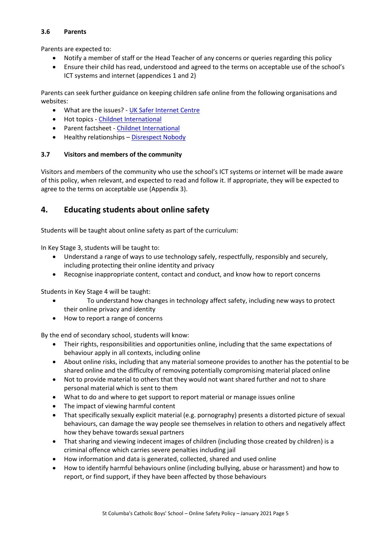### **3.6 Parents**

Parents are expected to:

- Notify a member of staff or the Head Teacher of any concerns or queries regarding this policy
- Ensure their child has read, understood and agreed to the terms on acceptable use of the school's ICT systems and internet (appendices 1 and 2)

Parents can seek further guidance on keeping children safe online from the following organisations and websites:

- What are the issues? [UK Safer Internet Centre](https://www.saferinternet.org.uk/advice-centre/parents-and-carers/what-are-issues)
- Hot topics [Childnet International](http://www.childnet.com/parents-and-carers/hot-topics)
- Parent factsheet [Childnet International](https://www.childnet.com/resources/parents-and-carers-resource-sheet)
- Healthy relationships [Disrespect Nobody](https://www.disrespectnobody.co.uk/)

## **3.7 Visitors and members of the community**

Visitors and members of the community who use the school's ICT systems or internet will be made aware of this policy, when relevant, and expected to read and follow it. If appropriate, they will be expected to agree to the terms on acceptable use (Appendix 3).

# **4. Educating students about online safety**

Students will be taught about online safety as part of the curriculum:

In Key Stage 3, students will be taught to:

- Understand a range of ways to use technology safely, respectfully, responsibly and securely, including protecting their online identity and privacy
- Recognise inappropriate content, contact and conduct, and know how to report concerns

Students in Key Stage 4 will be taught:

- To understand how changes in technology affect safety, including new ways to protect their online privacy and identity
- How to report a range of concerns

By the end of secondary school, students will know:

- Their rights, responsibilities and opportunities online, including that the same expectations of behaviour apply in all contexts, including online
- About online risks, including that any material someone provides to another has the potential to be shared online and the difficulty of removing potentially compromising material placed online
- Not to provide material to others that they would not want shared further and not to share personal material which is sent to them
- What to do and where to get support to report material or manage issues online
- The impact of viewing harmful content
- That specifically sexually explicit material (e.g. pornography) presents a distorted picture of sexual behaviours, can damage the way people see themselves in relation to others and negatively affect how they behave towards sexual partners
- That sharing and viewing indecent images of children (including those created by children) is a criminal offence which carries severe penalties including jail
- How information and data is generated, collected, shared and used online
- How to identify harmful behaviours online (including bullying, abuse or harassment) and how to report, or find support, if they have been affected by those behaviours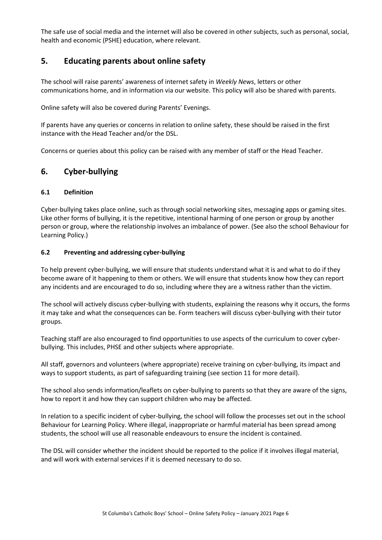The safe use of social media and the internet will also be covered in other subjects, such as personal, social, health and economic (PSHE) education, where relevant.

# **5. Educating parents about online safety**

The school will raise parents' awareness of internet safety in *Weekly News*, letters or other communications home, and in information via our website. This policy will also be shared with parents.

Online safety will also be covered during Parents' Evenings.

If parents have any queries or concerns in relation to online safety, these should be raised in the first instance with the Head Teacher and/or the DSL.

Concerns or queries about this policy can be raised with any member of staff or the Head Teacher.

## **6. Cyber-bullying**

#### **6.1 Definition**

Cyber-bullying takes place online, such as through social networking sites, messaging apps or gaming sites. Like other forms of bullying, it is the repetitive, intentional harming of one person or group by another person or group, where the relationship involves an imbalance of power. (See also the school Behaviour for Learning Policy.)

#### **6.2 Preventing and addressing cyber-bullying**

To help prevent cyber-bullying, we will ensure that students understand what it is and what to do if they become aware of it happening to them or others. We will ensure that students know how they can report any incidents and are encouraged to do so, including where they are a witness rather than the victim.

The school will actively discuss cyber-bullying with students, explaining the reasons why it occurs, the forms it may take and what the consequences can be. Form teachers will discuss cyber-bullying with their tutor groups.

Teaching staff are also encouraged to find opportunities to use aspects of the curriculum to cover cyberbullying. This includes, PHSE and other subjects where appropriate.

All staff, governors and volunteers (where appropriate) receive training on cyber-bullying, its impact and ways to support students, as part of safeguarding training (see section 11 for more detail).

The school also sends information/leaflets on cyber-bullying to parents so that they are aware of the signs, how to report it and how they can support children who may be affected.

In relation to a specific incident of cyber-bullying, the school will follow the processes set out in the school Behaviour for Learning Policy. Where illegal, inappropriate or harmful material has been spread among students, the school will use all reasonable endeavours to ensure the incident is contained.

The DSL will consider whether the incident should be reported to the police if it involves illegal material, and will work with external services if it is deemed necessary to do so.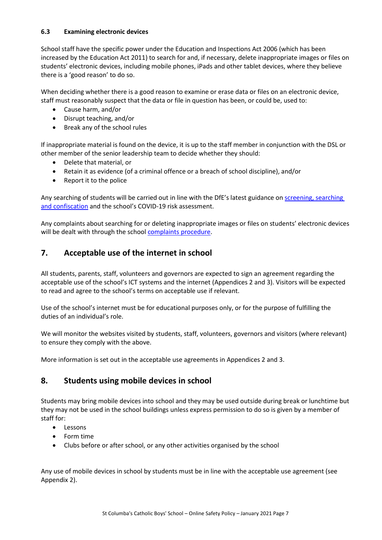#### **6.3 Examining electronic devices**

School staff have the specific power under the Education and Inspections Act 2006 (which has been increased by the Education Act 2011) to search for and, if necessary, delete inappropriate images or files on students' electronic devices, including mobile phones, iPads and other tablet devices, where they believe there is a 'good reason' to do so.

When deciding whether there is a good reason to examine or erase data or files on an electronic device, staff must reasonably suspect that the data or file in question has been, or could be, used to:

- Cause harm, and/or
- Disrupt teaching, and/or
- Break any of the school rules

If inappropriate material is found on the device, it is up to the staff member in conjunction with the DSL or other member of the senior leadership team to decide whether they should:

- Delete that material, or
- Retain it as evidence (of a criminal offence or a breach of school discipline), and/or
- Report it to the police

Any searching of students will be carried out in line with the DfE's latest guidance o[n screening, searching](https://www.gov.uk/government/publications/searching-screening-and-confiscation)  [and confiscation](https://www.gov.uk/government/publications/searching-screening-and-confiscation) and the school's COVID-19 risk assessment.

Any complaints about searching for or deleting inappropriate images or files on students' electronic devices will be dealt with through the school [complaints procedure.](https://st-columbas.bexley.sch.uk/wp-content/uploads/2020/09/StColumbasComplaintsProcedures2020.pdf)

# **7. Acceptable use of the internet in school**

All students, parents, staff, volunteers and governors are expected to sign an agreement regarding the acceptable use of the school's ICT systems and the internet (Appendices 2 and 3). Visitors will be expected to read and agree to the school's terms on acceptable use if relevant.

Use of the school's internet must be for educational purposes only, or for the purpose of fulfilling the duties of an individual's role.

We will monitor the websites visited by students, staff, volunteers, governors and visitors (where relevant) to ensure they comply with the above.

More information is set out in the acceptable use agreements in Appendices 2 and 3.

## **8. Students using mobile devices in school**

Students may bring mobile devices into school and they may be used outside during break or lunchtime but they may not be used in the school buildings unless express permission to do so is given by a member of staff for:

- Lessons
- Form time
- Clubs before or after school, or any other activities organised by the school

Any use of mobile devices in school by students must be in line with the acceptable use agreement (see Appendix 2).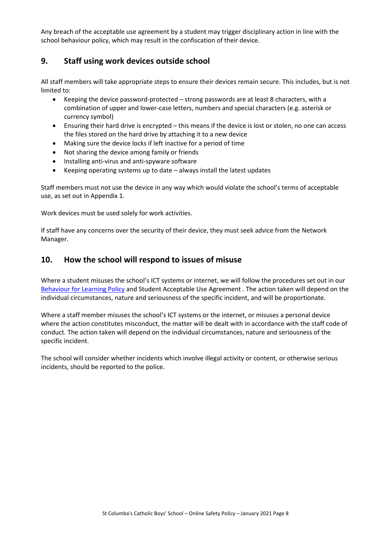Any breach of the acceptable use agreement by a student may trigger disciplinary action in line with the school behaviour policy, which may result in the confiscation of their device.

# **9. Staff using work devices outside school**

All staff members will take appropriate steps to ensure their devices remain secure. This includes, but is not limited to:

- Keeping the device password-protected strong passwords are at least 8 characters, with a combination of upper and lower-case letters, numbers and special characters (e.g. asterisk or currency symbol)
- Ensuring their hard drive is encrypted this means if the device is lost or stolen, no one can access the files stored on the hard drive by attaching it to a new device
- Making sure the device locks if left inactive for a period of time
- Not sharing the device among family or friends
- Installing anti-virus and anti-spyware software
- Keeping operating systems up to date always install the latest updates

Staff members must not use the device in any way which would violate the school's terms of acceptable use, as set out in Appendix 1.

Work devices must be used solely for work activities.

If staff have any concerns over the security of their device, they must seek advice from the Network Manager.

## **10. How the school will respond to issues of misuse**

Where a student misuses the school's ICT systems or internet, we will follow the procedures set out in our [Behaviour for Learning Policy](https://st-columbas.bexley.sch.uk/wp-content/uploads/2020/06/StColumbasBehaviourforLearningPolicy2018CV19UpdateJune2020.pdf) and Student Acceptable Use Agreement . The action taken will depend on the individual circumstances, nature and seriousness of the specific incident, and will be proportionate.

Where a staff member misuses the school's ICT systems or the internet, or misuses a personal device where the action constitutes misconduct, the matter will be dealt with in accordance with the staff code of conduct. The action taken will depend on the individual circumstances, nature and seriousness of the specific incident.

The school will consider whether incidents which involve illegal activity or content, or otherwise serious incidents, should be reported to the police.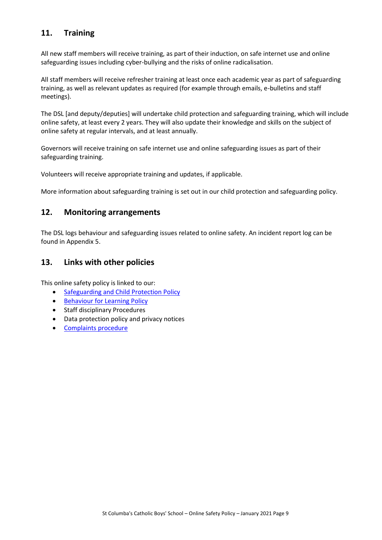# **11. Training**

All new staff members will receive training, as part of their induction, on safe internet use and online safeguarding issues including cyber-bullying and the risks of online radicalisation.

All staff members will receive refresher training at least once each academic year as part of safeguarding training, as well as relevant updates as required (for example through emails, e-bulletins and staff meetings).

The DSL [and deputy/deputies] will undertake child protection and safeguarding training, which will include online safety, at least every 2 years. They will also update their knowledge and skills on the subject of online safety at regular intervals, and at least annually.

Governors will receive training on safe internet use and online safeguarding issues as part of their safeguarding training.

Volunteers will receive appropriate training and updates, if applicable.

More information about safeguarding training is set out in our child protection and safeguarding policy.

## **12. Monitoring arrangements**

The DSL logs behaviour and safeguarding issues related to online safety. An incident report log can be found in Appendix 5.

## **13. Links with other policies**

This online safety policy is linked to our:

- Safeguarding [and Child Protection](https://st-columbas.bexley.sch.uk/wp-content/uploads/2020/04/StColumbasSafeguardingPolicyApril2020COVID19.pdf) Policy
- [Behaviour for Learning Policy](https://st-columbas.bexley.sch.uk/wp-content/uploads/2020/06/StColumbasBehaviourforLearningPolicy2018CV19UpdateJune2020.pdf)
- Staff disciplinary Procedures
- Data protection policy and privacy notices
- [Complaints procedure](https://st-columbas.bexley.sch.uk/wp-content/uploads/2020/09/StColumbasComplaintsProcedures2020.pdf)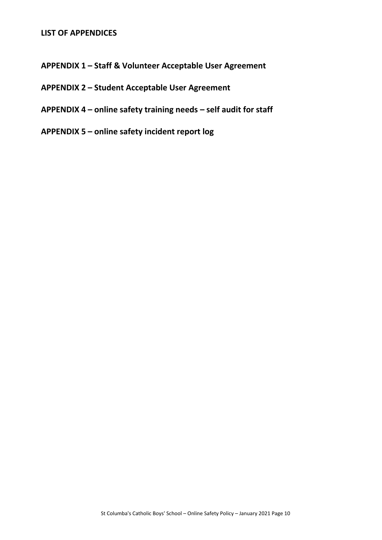## **LIST OF APPENDICES**

- **APPENDIX 1 – Staff & Volunteer Acceptable User Agreement**
- **APPENDIX 2 – Student Acceptable User Agreement**
- **APPENDIX 4 – online safety training needs – self audit for staff**
- **APPENDIX 5 – online safety incident report log**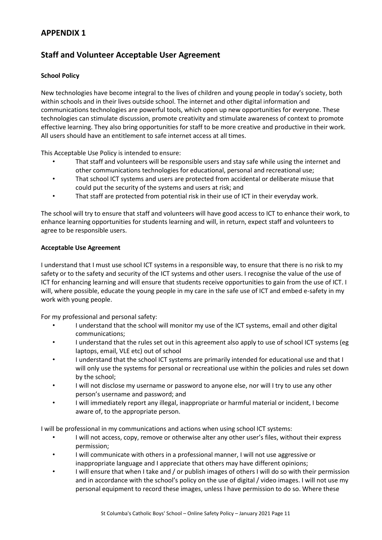# **Staff and Volunteer Acceptable User Agreement**

### **School Policy**

New technologies have become integral to the lives of children and young people in today's society, both within schools and in their lives outside school. The internet and other digital information and communications technologies are powerful tools, which open up new opportunities for everyone. These technologies can stimulate discussion, promote creativity and stimulate awareness of context to promote effective learning. They also bring opportunities for staff to be more creative and productive in their work. All users should have an entitlement to safe internet access at all times.

This Acceptable Use Policy is intended to ensure:

- That staff and volunteers will be responsible users and stay safe while using the internet and other communications technologies for educational, personal and recreational use;
- That school ICT systems and users are protected from accidental or deliberate misuse that could put the security of the systems and users at risk; and
- That staff are protected from potential risk in their use of ICT in their everyday work.

The school will try to ensure that staff and volunteers will have good access to ICT to enhance their work, to enhance learning opportunities for students learning and will, in return, expect staff and volunteers to agree to be responsible users.

#### **Acceptable Use Agreement**

I understand that I must use school ICT systems in a responsible way, to ensure that there is no risk to my safety or to the safety and security of the ICT systems and other users. I recognise the value of the use of ICT for enhancing learning and will ensure that students receive opportunities to gain from the use of ICT. I will, where possible, educate the young people in my care in the safe use of ICT and embed e-safety in my work with young people.

For my professional and personal safety:

- I understand that the school will monitor my use of the ICT systems, email and other digital communications;
- I understand that the rules set out in this agreement also apply to use of school ICT systems (eg laptops, email, VLE etc) out of school
- I understand that the school ICT systems are primarily intended for educational use and that I will only use the systems for personal or recreational use within the policies and rules set down by the school;
- I will not disclose my username or password to anyone else, nor will I try to use any other person's username and password; and
- I will immediately report any illegal, inappropriate or harmful material or incident, I become aware of, to the appropriate person.

I will be professional in my communications and actions when using school ICT systems:

- I will not access, copy, remove or otherwise alter any other user's files, without their express permission;
- I will communicate with others in a professional manner, I will not use aggressive or inappropriate language and I appreciate that others may have different opinions;
- I will ensure that when I take and / or publish images of others I will do so with their permission and in accordance with the school's policy on the use of digital / video images. I will not use my personal equipment to record these images, unless I have permission to do so. Where these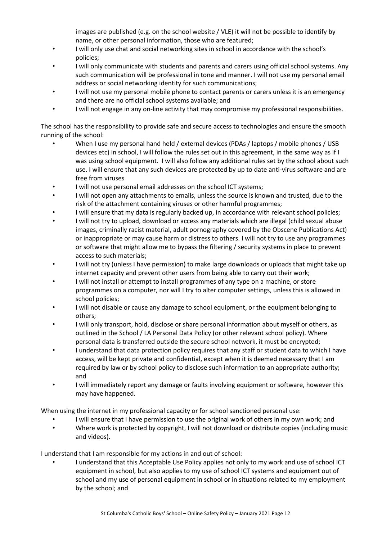images are published (e.g. on the school website / VLE) it will not be possible to identify by name, or other personal information, those who are featured;

- I will only use chat and social networking sites in school in accordance with the school's policies;
- I will only communicate with students and parents and carers using official school systems. Any such communication will be professional in tone and manner. I will not use my personal email address or social networking identity for such communications;
- I will not use my personal mobile phone to contact parents or carers unless it is an emergency and there are no official school systems available; and
- I will not engage in any on-line activity that may compromise my professional responsibilities.

The school has the responsibility to provide safe and secure access to technologies and ensure the smooth running of the school:

- When I use my personal hand held / external devices (PDAs / laptops / mobile phones / USB devices etc) in school, I will follow the rules set out in this agreement, in the same way as if I was using school equipment. I will also follow any additional rules set by the school about such use. I will ensure that any such devices are protected by up to date anti-virus software and are free from viruses
- I will not use personal email addresses on the school ICT systems;
- I will not open any attachments to emails, unless the source is known and trusted, due to the risk of the attachment containing viruses or other harmful programmes;
- I will ensure that my data is regularly backed up, in accordance with relevant school policies;
- I will not try to upload, download or access any materials which are illegal (child sexual abuse images, criminally racist material, adult pornography covered by the Obscene Publications Act) or inappropriate or may cause harm or distress to others. I will not try to use any programmes or software that might allow me to bypass the filtering / security systems in place to prevent access to such materials;
- I will not try (unless I have permission) to make large downloads or uploads that might take up internet capacity and prevent other users from being able to carry out their work;
- I will not install or attempt to install programmes of any type on a machine, or store programmes on a computer, nor will I try to alter computer settings, unless this is allowed in school policies;
- I will not disable or cause any damage to school equipment, or the equipment belonging to others;
- I will only transport, hold, disclose or share personal information about myself or others, as outlined in the School / LA Personal Data Policy (or other relevant school policy). Where personal data is transferred outside the secure school network, it must be encrypted;
- I understand that data protection policy requires that any staff or student data to which I have access, will be kept private and confidential, except when it is deemed necessary that I am required by law or by school policy to disclose such information to an appropriate authority; and
- I will immediately report any damage or faults involving equipment or software, however this may have happened.

When using the internet in my professional capacity or for school sanctioned personal use:

- I will ensure that I have permission to use the original work of others in my own work; and
- Where work is protected by copyright, I will not download or distribute copies (including music and videos).

I understand that I am responsible for my actions in and out of school:

• I understand that this Acceptable Use Policy applies not only to my work and use of school ICT equipment in school, but also applies to my use of school ICT systems and equipment out of school and my use of personal equipment in school or in situations related to my employment by the school; and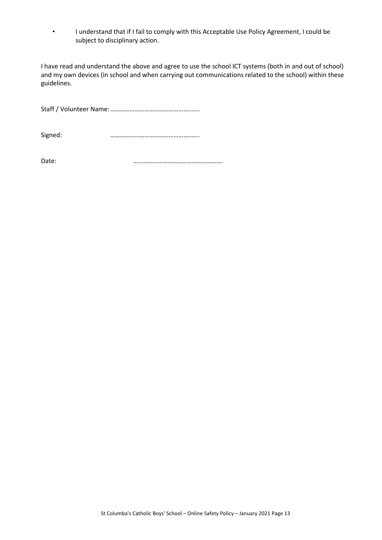• I understand that if I fail to comply with this Acceptable Use Policy Agreement, I could be subject to disciplinary action.

I have read and understand the above and agree to use the school ICT systems (both in and out of school) and my own devices (in school and when carrying out communications related to the school) within these guidelines.

Staff / Volunteer Name:……………………………………………….

Signed: ……………………………………………….

Date: **manufacturer and manufacturer and manufacturer and manufacturer and manufacturer and manufacturer and ma**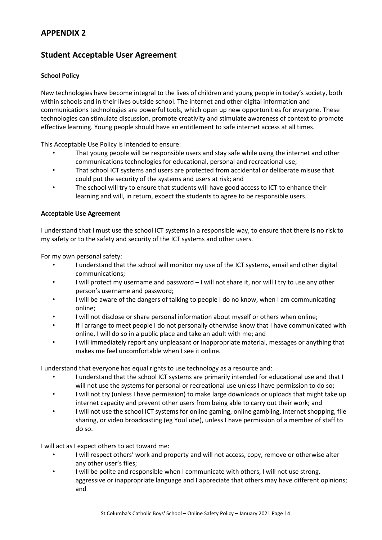# **Student Acceptable User Agreement**

## **School Policy**

New technologies have become integral to the lives of children and young people in today's society, both within schools and in their lives outside school. The internet and other digital information and communications technologies are powerful tools, which open up new opportunities for everyone. These technologies can stimulate discussion, promote creativity and stimulate awareness of context to promote effective learning. Young people should have an entitlement to safe internet access at all times.

This Acceptable Use Policy is intended to ensure:

- That young people will be responsible users and stay safe while using the internet and other communications technologies for educational, personal and recreational use;
- That school ICT systems and users are protected from accidental or deliberate misuse that could put the security of the systems and users at risk; and
- The school will try to ensure that students will have good access to ICT to enhance their learning and will, in return, expect the students to agree to be responsible users.

#### **Acceptable Use Agreement**

I understand that I must use the school ICT systems in a responsible way, to ensure that there is no risk to my safety or to the safety and security of the ICT systems and other users.

For my own personal safety:

- I understand that the school will monitor my use of the ICT systems, email and other digital communications;
- I will protect my username and password I will not share it, nor will I try to use any other person's username and password;
- I will be aware of the dangers of talking to people I do no know, when I am communicating online;
- I will not disclose or share personal information about myself or others when online;
- If I arrange to meet people I do not personally otherwise know that I have communicated with online, I will do so in a public place and take an adult with me; and
- I will immediately report any unpleasant or inappropriate material, messages or anything that makes me feel uncomfortable when I see it online.

I understand that everyone has equal rights to use technology as a resource and:

- I understand that the school ICT systems are primarily intended for educational use and that I will not use the systems for personal or recreational use unless I have permission to do so;
- I will not try (unless I have permission) to make large downloads or uploads that might take up internet capacity and prevent other users from being able to carry out their work; and
- I will not use the school ICT systems for online gaming, online gambling, internet shopping, file sharing, or video broadcasting (eg YouTube), unless I have permission of a member of staff to do so.

I will act as I expect others to act toward me:

- I will respect others' work and property and will not access, copy, remove or otherwise alter any other user's files;
- I will be polite and responsible when I communicate with others, I will not use strong, aggressive or inappropriate language and I appreciate that others may have different opinions; and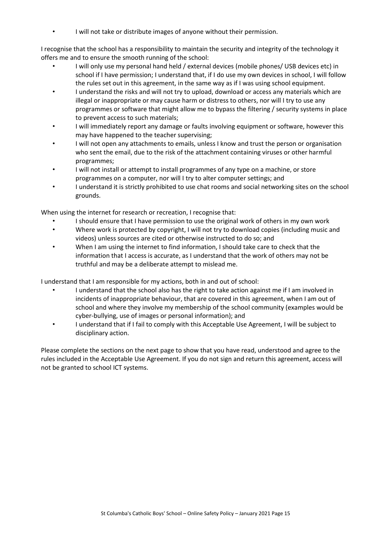• I will not take or distribute images of anyone without their permission.

I recognise that the school has a responsibility to maintain the security and integrity of the technology it offers me and to ensure the smooth running of the school:

- I will only use my personal hand held / external devices (mobile phones/ USB devices etc) in school if I have permission; I understand that, if I do use my own devices in school, I will follow the rules set out in this agreement, in the same way as if I was using school equipment.
- I understand the risks and will not try to upload, download or access any materials which are illegal or inappropriate or may cause harm or distress to others, nor will I try to use any programmes or software that might allow me to bypass the filtering / security systems in place to prevent access to such materials;
- I will immediately report any damage or faults involving equipment or software, however this may have happened to the teacher supervising;
- I will not open any attachments to emails, unless I know and trust the person or organisation who sent the email, due to the risk of the attachment containing viruses or other harmful programmes;
- I will not install or attempt to install programmes of any type on a machine, or store programmes on a computer, nor will I try to alter computer settings; and
- I understand it is strictly prohibited to use chat rooms and social networking sites on the school grounds.

When using the internet for research or recreation, I recognise that:

- I should ensure that I have permission to use the original work of others in my own work
- Where work is protected by copyright, I will not try to download copies (including music and videos) unless sources are cited or otherwise instructed to do so; and
- When I am using the internet to find information, I should take care to check that the information that I access is accurate, as I understand that the work of others may not be truthful and may be a deliberate attempt to mislead me.

I understand that I am responsible for my actions, both in and out of school:

- I understand that the school also has the right to take action against me if I am involved in incidents of inappropriate behaviour, that are covered in this agreement, when I am out of school and where they involve my membership of the school community (examples would be cyber-bullying, use of images or personal information); and
- I understand that if I fail to comply with this Acceptable Use Agreement, I will be subject to disciplinary action.

Please complete the sections on the next page to show that you have read, understood and agree to the rules included in the Acceptable Use Agreement. If you do not sign and return this agreement, access will not be granted to school ICT systems.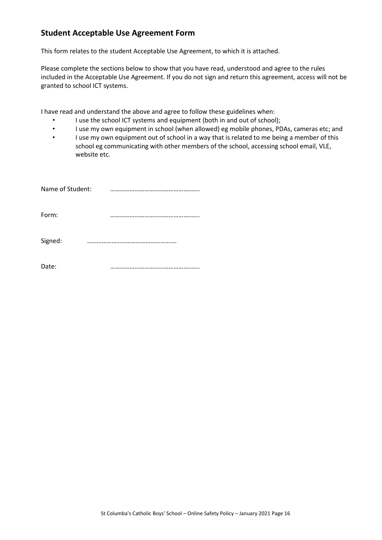# **Student Acceptable Use Agreement Form**

This form relates to the student Acceptable Use Agreement, to which it is attached.

Please complete the sections below to show that you have read, understood and agree to the rules included in the Acceptable Use Agreement. If you do not sign and return this agreement, access will not be granted to school ICT systems.

I have read and understand the above and agree to follow these guidelines when:

- I use the school ICT systems and equipment (both in and out of school);
- I use my own equipment in school (when allowed) eg mobile phones, PDAs, cameras etc; and
- I use my own equipment out of school in a way that is related to me being a member of this school eg communicating with other members of the school, accessing school email, VLE, website etc.

| Name of Student: |      |
|------------------|------|
| Form:            |      |
| Signed:<br>      |      |
| Date:            | <br> |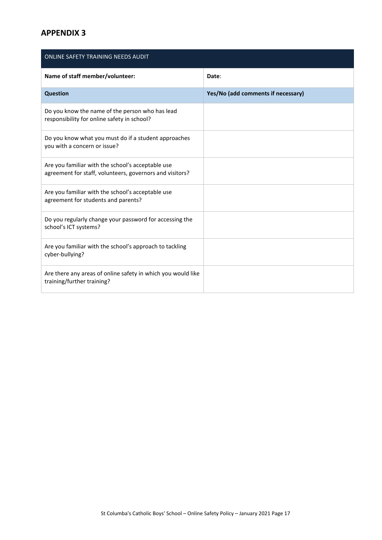| ONLINE SAFETY TRAINING NEEDS AUDIT                                                                            |                                    |  |  |  |  |
|---------------------------------------------------------------------------------------------------------------|------------------------------------|--|--|--|--|
| Name of staff member/volunteer:                                                                               | Date:                              |  |  |  |  |
| <b>Question</b>                                                                                               | Yes/No (add comments if necessary) |  |  |  |  |
| Do you know the name of the person who has lead<br>responsibility for online safety in school?                |                                    |  |  |  |  |
| Do you know what you must do if a student approaches<br>you with a concern or issue?                          |                                    |  |  |  |  |
| Are you familiar with the school's acceptable use<br>agreement for staff, volunteers, governors and visitors? |                                    |  |  |  |  |
| Are you familiar with the school's acceptable use<br>agreement for students and parents?                      |                                    |  |  |  |  |
| Do you regularly change your password for accessing the<br>school's ICT systems?                              |                                    |  |  |  |  |
| Are you familiar with the school's approach to tackling<br>cyber-bullying?                                    |                                    |  |  |  |  |
| Are there any areas of online safety in which you would like<br>training/further training?                    |                                    |  |  |  |  |